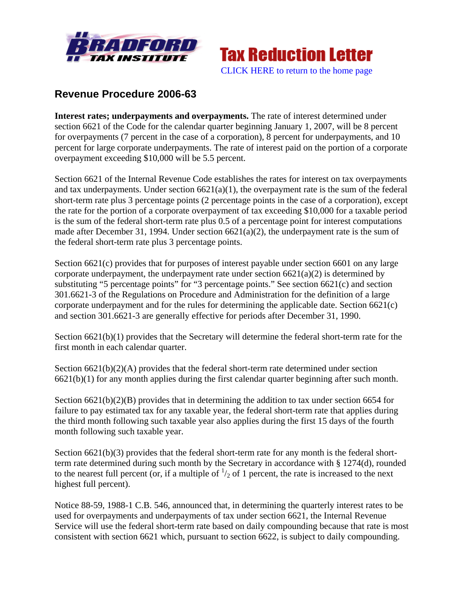



# **Revenue Procedure 2006-63**

**Interest rates; underpayments and overpayments.** The rate of interest determined under section 6621 of the Code for the calendar quarter beginning January 1, 2007, will be 8 percent for overpayments (7 percent in the case of a corporation), 8 percent for underpayments, and 10 percent for large corporate underpayments. The rate of interest paid on the portion of a corporate overpayment exceeding \$10,000 will be 5.5 percent.

Section 6621 of the Internal Revenue Code establishes the rates for interest on tax overpayments and tax underpayments. Under section  $6621(a)(1)$ , the overpayment rate is the sum of the federal short-term rate plus 3 percentage points (2 percentage points in the case of a corporation), except the rate for the portion of a corporate overpayment of tax exceeding \$10,000 for a taxable period is the sum of the federal short-term rate plus 0.5 of a percentage point for interest computations made after December 31, 1994. Under section 6621(a)(2), the underpayment rate is the sum of the federal short-term rate plus 3 percentage points.

Section 6621(c) provides that for purposes of interest payable under section 6601 on any large corporate underpayment, the underpayment rate under section  $6621(a)(2)$  is determined by substituting "5 percentage points" for "3 percentage points." See section 6621(c) and section 301.6621-3 of the Regulations on Procedure and Administration for the definition of a large corporate underpayment and for the rules for determining the applicable date. Section 6621(c) and section 301.6621-3 are generally effective for periods after December 31, 1990.

Section 6621(b)(1) provides that the Secretary will determine the federal short-term rate for the first month in each calendar quarter.

Section  $6621(b)(2)(A)$  provides that the federal short-term rate determined under section 6621(b)(1) for any month applies during the first calendar quarter beginning after such month.

Section 6621(b)(2)(B) provides that in determining the addition to tax under section 6654 for failure to pay estimated tax for any taxable year, the federal short-term rate that applies during the third month following such taxable year also applies during the first 15 days of the fourth month following such taxable year.

Section 6621(b)(3) provides that the federal short-term rate for any month is the federal shortterm rate determined during such month by the Secretary in accordance with § 1274(d), rounded to the nearest full percent (or, if a multiple of  $\frac{1}{2}$  of 1 percent, the rate is increased to the next highest full percent).

Notice 88-59, 1988-1 C.B. 546, announced that, in determining the quarterly interest rates to be used for overpayments and underpayments of tax under section 6621, the Internal Revenue Service will use the federal short-term rate based on daily compounding because that rate is most consistent with section 6621 which, pursuant to section 6622, is subject to daily compounding.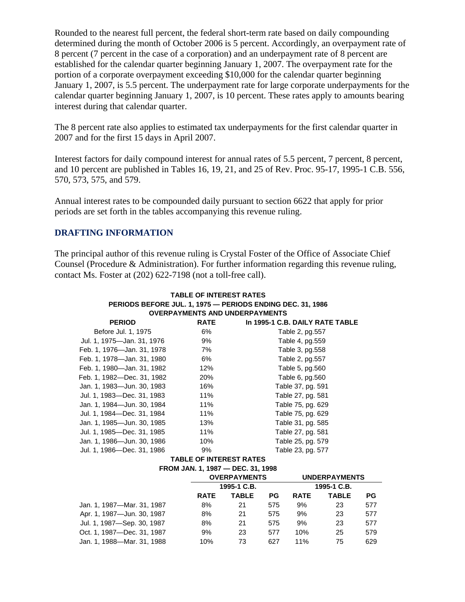Rounded to the nearest full percent, the federal short-term rate based on daily compounding determined during the month of October 2006 is 5 percent. Accordingly, an overpayment rate of 8 percent (7 percent in the case of a corporation) and an underpayment rate of 8 percent are established for the calendar quarter beginning January 1, 2007. The overpayment rate for the portion of a corporate overpayment exceeding \$10,000 for the calendar quarter beginning January 1, 2007, is 5.5 percent. The underpayment rate for large corporate underpayments for the calendar quarter beginning January 1, 2007, is 10 percent. These rates apply to amounts bearing interest during that calendar quarter.

The 8 percent rate also applies to estimated tax underpayments for the first calendar quarter in 2007 and for the first 15 days in April 2007.

Interest factors for daily compound interest for annual rates of 5.5 percent, 7 percent, 8 percent, and 10 percent are published in Tables 16, 19, 21, and 25 of Rev. Proc. 95-17, 1995-1 C.B. 556, 570, 573, 575, and 579.

Annual interest rates to be compounded daily pursuant to section 6622 that apply for prior periods are set forth in the tables accompanying this revenue ruling.

## **DRAFTING INFORMATION**

The principal author of this revenue ruling is Crystal Foster of the Office of Associate Chief Counsel (Procedure & Administration). For further information regarding this revenue ruling, contact Ms. Foster at (202) 622-7198 (not a toll-free call).

| <b>TABLE OF INTEREST RATES</b><br>PERIODS BEFORE JUL. 1, 1975 - PERIODS ENDING DEC. 31, 1986             |     |                   |  |  |  |  |
|----------------------------------------------------------------------------------------------------------|-----|-------------------|--|--|--|--|
| <b>OVERPAYMENTS AND UNDERPAYMENTS</b><br>In 1995-1 C.B. DAILY RATE TABLE<br><b>PERIOD</b><br><b>RATE</b> |     |                   |  |  |  |  |
| Before Jul. 1, 1975                                                                                      | 6%  | Table 2, pg.557   |  |  |  |  |
| Jul. 1, 1975-Jan. 31, 1976                                                                               | 9%  | Table 4, pg.559   |  |  |  |  |
| Feb. 1, 1976-Jan. 31, 1978                                                                               | 7%  | Table 3, pg.558   |  |  |  |  |
| Feb. 1, 1978-Jan. 31, 1980                                                                               | 6%  | Table 2, pg.557   |  |  |  |  |
| Feb. 1, 1980-Jan. 31, 1982                                                                               | 12% | Table 5, pg.560   |  |  |  |  |
| Feb. 1, 1982—Dec. 31, 1982                                                                               | 20% | Table 6, pg.560   |  |  |  |  |
| Jan. 1, 1983-Jun. 30, 1983                                                                               | 16% | Table 37, pg. 591 |  |  |  |  |
| Jul. 1, 1983-Dec. 31, 1983                                                                               | 11% | Table 27, pg. 581 |  |  |  |  |
| Jan. 1, 1984—Jun. 30, 1984                                                                               | 11% | Table 75, pg. 629 |  |  |  |  |
| Jul. 1, 1984—Dec. 31, 1984                                                                               | 11% | Table 75, pg. 629 |  |  |  |  |
| Jan. 1, 1985—Jun. 30, 1985                                                                               | 13% | Table 31, pg. 585 |  |  |  |  |
| Jul. 1, 1985—Dec. 31, 1985                                                                               | 11% | Table 27, pg. 581 |  |  |  |  |
| Jan. 1, 1986—Jun. 30, 1986                                                                               | 10% | Table 25, pg. 579 |  |  |  |  |
| Jul. 1, 1986—Dec. 31, 1986                                                                               | 9%  | Table 23, pg. 577 |  |  |  |  |
| <b>TABLE OF INTEREST RATES</b>                                                                           |     |                   |  |  |  |  |

**FROM JAN. 1, 1987 — DEC. 31, 1998** 

| <b>OVERPAYMENTS</b><br>1995-1 C.B. |    |     | <b>UNDERPAYMENTS</b><br>1995-1 C.B. |    |     |
|------------------------------------|----|-----|-------------------------------------|----|-----|
|                                    |    |     |                                     |    |     |
| 8%                                 | 21 | 575 | 9%                                  | 23 | 577 |
| 8%                                 | 21 | 575 | 9%                                  | 23 | 577 |
| 8%                                 | 21 | 575 | 9%                                  | 23 | 577 |
| 9%                                 | 23 | 577 | 10%                                 | 25 | 579 |
| 10%                                | 73 | 627 | 11%                                 | 75 | 629 |
|                                    |    |     |                                     |    |     |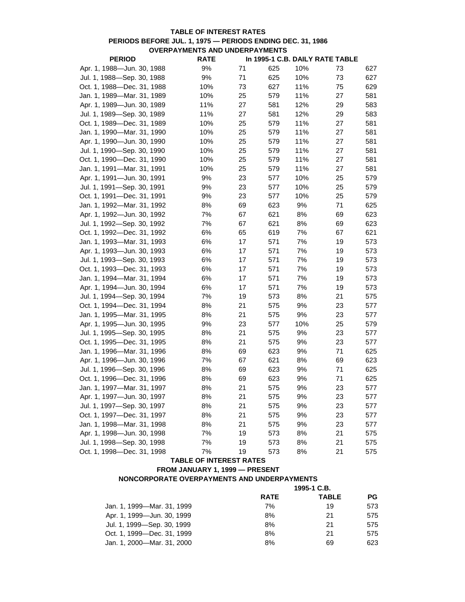## **TABLE OF INTEREST RATES PERIODS BEFORE JUL. 1, 1975 — PERIODS ENDING DEC. 31, 1986 OVERPAYMENTS AND UNDERPAYMENTS**

| <b>PERIOD</b>              | <b>RATE</b> |    |     |     | In 1995-1 C.B. DAILY RATE TABLE |     |
|----------------------------|-------------|----|-----|-----|---------------------------------|-----|
| Apr. 1, 1988-Jun. 30, 1988 | 9%          | 71 | 625 | 10% | 73                              | 627 |
| Jul. 1, 1988-Sep. 30, 1988 | 9%          | 71 | 625 | 10% | 73                              | 627 |
| Oct. 1, 1988-Dec. 31, 1988 | 10%         | 73 | 627 | 11% | 75                              | 629 |
| Jan. 1, 1989-Mar. 31, 1989 | 10%         | 25 | 579 | 11% | 27                              | 581 |
| Apr. 1, 1989-Jun. 30, 1989 | 11%         | 27 | 581 | 12% | 29                              | 583 |
| Jul. 1, 1989-Sep. 30, 1989 | 11%         | 27 | 581 | 12% | 29                              | 583 |
| Oct. 1, 1989-Dec. 31, 1989 | 10%         | 25 | 579 | 11% | 27                              | 581 |
| Jan. 1, 1990-Mar. 31, 1990 | 10%         | 25 | 579 | 11% | 27                              | 581 |
| Apr. 1, 1990-Jun. 30, 1990 | 10%         | 25 | 579 | 11% | 27                              | 581 |
| Jul. 1, 1990-Sep. 30, 1990 | 10%         | 25 | 579 | 11% | 27                              | 581 |
| Oct. 1, 1990-Dec. 31, 1990 | 10%         | 25 | 579 | 11% | 27                              | 581 |
| Jan. 1, 1991-Mar. 31, 1991 | 10%         | 25 | 579 | 11% | 27                              | 581 |
| Apr. 1, 1991-Jun. 30, 1991 | 9%          | 23 | 577 | 10% | 25                              | 579 |
| Jul. 1, 1991-Sep. 30, 1991 | 9%          | 23 | 577 | 10% | 25                              | 579 |
| Oct. 1, 1991-Dec. 31, 1991 | 9%          | 23 | 577 | 10% | 25                              | 579 |
| Jan. 1, 1992-Mar. 31, 1992 | 8%          | 69 | 623 | 9%  | 71                              | 625 |
| Apr. 1, 1992-Jun. 30, 1992 | 7%          | 67 | 621 | 8%  | 69                              | 623 |
| Jul. 1, 1992-Sep. 30, 1992 | 7%          | 67 | 621 | 8%  | 69                              | 623 |
| Oct. 1, 1992-Dec. 31, 1992 | 6%          | 65 | 619 | 7%  | 67                              | 621 |
| Jan. 1, 1993-Mar. 31, 1993 | 6%          | 17 | 571 | 7%  | 19                              | 573 |
| Apr. 1, 1993-Jun. 30, 1993 | 6%          | 17 | 571 | 7%  | 19                              | 573 |
| Jul. 1, 1993-Sep. 30, 1993 | 6%          | 17 | 571 | 7%  | 19                              | 573 |
| Oct. 1, 1993-Dec. 31, 1993 | 6%          | 17 | 571 | 7%  | 19                              | 573 |
| Jan. 1, 1994-Mar. 31, 1994 | 6%          | 17 | 571 | 7%  | 19                              | 573 |
| Apr. 1, 1994-Jun. 30, 1994 | 6%          | 17 | 571 | 7%  | 19                              | 573 |
| Jul. 1, 1994-Sep. 30, 1994 | 7%          | 19 | 573 | 8%  | 21                              | 575 |
| Oct. 1, 1994-Dec. 31, 1994 | 8%          | 21 | 575 | 9%  | 23                              | 577 |
| Jan. 1, 1995-Mar. 31, 1995 | 8%          | 21 | 575 | 9%  | 23                              | 577 |
| Apr. 1, 1995-Jun. 30, 1995 | $9%$        | 23 | 577 | 10% | 25                              | 579 |
| Jul. 1, 1995-Sep. 30, 1995 | 8%          | 21 | 575 | 9%  | 23                              | 577 |
| Oct. 1, 1995-Dec. 31, 1995 | 8%          | 21 | 575 | 9%  | 23                              | 577 |
| Jan. 1, 1996-Mar. 31, 1996 | 8%          | 69 | 623 | 9%  | 71                              | 625 |
| Apr. 1, 1996-Jun. 30, 1996 | 7%          | 67 | 621 | 8%  | 69                              | 623 |
| Jul. 1, 1996-Sep. 30, 1996 | 8%          | 69 | 623 | 9%  | 71                              | 625 |
| Oct. 1, 1996-Dec. 31, 1996 | 8%          | 69 | 623 | 9%  | 71                              | 625 |
| Jan. 1, 1997-Mar. 31, 1997 | 8%          | 21 | 575 | 9%  | 23                              | 577 |
| Apr. 1, 1997-Jun. 30, 1997 | 8%          | 21 | 575 | 9%  | 23                              | 577 |
| Jul. 1, 1997-Sep. 30, 1997 | 8%          | 21 | 575 | 9%  | 23                              | 577 |
| Oct. 1, 1997-Dec. 31, 1997 | 8%          | 21 | 575 | 9%  | 23                              | 577 |
| Jan. 1, 1998-Mar. 31, 1998 | 8%          | 21 | 575 | 9%  | 23                              | 577 |
| Apr. 1, 1998-Jun. 30, 1998 | 7%          | 19 | 573 | 8%  | 21                              | 575 |
| Jul. 1, 1998-Sep. 30, 1998 | 7%          | 19 | 573 | 8%  | 21                              | 575 |
| Oct. 1, 1998-Dec. 31, 1998 | 7%          | 19 | 573 | 8%  | 21                              | 575 |
|                            |             |    |     |     |                                 |     |

# **TABLE OF INTEREST RATES**

## **FROM JANUARY 1, 1999 — PRESENT**

# **NONCORPORATE OVERPAYMENTS AND UNDERPAYMENTS**

|                            | 1995-1 C.B. |              |           |  |
|----------------------------|-------------|--------------|-----------|--|
|                            | <b>RATE</b> | <b>TABLE</b> | <b>PG</b> |  |
| Jan. 1, 1999—Mar. 31, 1999 | 7%          | 19           | 573       |  |
| Apr. 1, 1999—Jun. 30, 1999 | 8%          | 21           | 575       |  |
| Jul. 1, 1999—Sep. 30, 1999 | 8%          | 21           | 575       |  |
| Oct. 1. 1999—Dec. 31. 1999 | 8%          | 21           | 575       |  |
| Jan. 1, 2000—Mar. 31, 2000 | 8%          | 69           | 623       |  |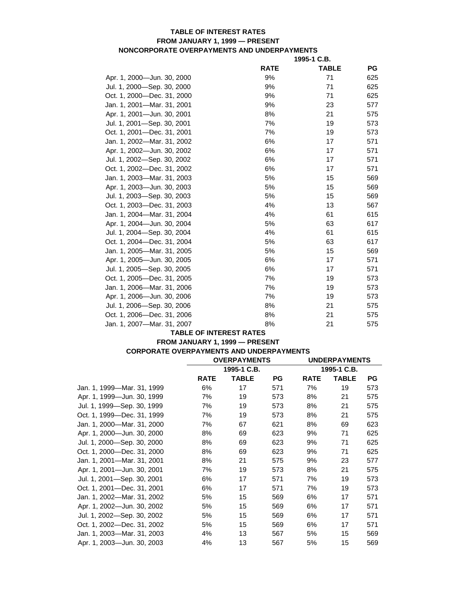## **TABLE OF INTEREST RATES FROM JANUARY 1, 1999 — PRESENT NONCORPORATE OVERPAYMENTS AND UNDERPAYMENTS**

|                            | 1995-1 C.B. |              |     |  |
|----------------------------|-------------|--------------|-----|--|
|                            | <b>RATE</b> | <b>TABLE</b> | PG  |  |
| Apr. 1, 2000-Jun. 30, 2000 | 9%          | 71           | 625 |  |
| Jul. 1, 2000-Sep. 30, 2000 | 9%          | 71           | 625 |  |
| Oct. 1, 2000-Dec. 31, 2000 | 9%          | 71           | 625 |  |
| Jan. 1, 2001-Mar. 31, 2001 | 9%          | 23           | 577 |  |
| Apr. 1, 2001-Jun. 30, 2001 | 8%          | 21           | 575 |  |
| Jul. 1, 2001—Sep. 30, 2001 | 7%          | 19           | 573 |  |
| Oct. 1, 2001-Dec. 31, 2001 | 7%          | 19           | 573 |  |
| Jan. 1, 2002-Mar. 31, 2002 | 6%          | 17           | 571 |  |
| Apr. 1, 2002-Jun. 30, 2002 | 6%          | 17           | 571 |  |
| Jul. 1, 2002-Sep. 30, 2002 | 6%          | 17           | 571 |  |
| Oct. 1, 2002-Dec. 31, 2002 | 6%          | 17           | 571 |  |
| Jan. 1, 2003-Mar. 31, 2003 | 5%          | 15           | 569 |  |
| Apr. 1, 2003-Jun. 30, 2003 | 5%          | 15           | 569 |  |
| Jul. 1, 2003—Sep. 30, 2003 | 5%          | 15           | 569 |  |
| Oct. 1, 2003-Dec. 31, 2003 | 4%          | 13           | 567 |  |
| Jan. 1, 2004-Mar. 31, 2004 | 4%          | 61           | 615 |  |
| Apr. 1, 2004-Jun. 30, 2004 | 5%          | 63           | 617 |  |
| Jul. 1, 2004-Sep. 30, 2004 | 4%          | 61           | 615 |  |
| Oct. 1, 2004-Dec. 31, 2004 | 5%          | 63           | 617 |  |
| Jan. 1, 2005-Mar. 31, 2005 | 5%          | 15           | 569 |  |
| Apr. 1, 2005-Jun. 30, 2005 | 6%          | 17           | 571 |  |
| Jul. 1, 2005-Sep. 30, 2005 | 6%          | 17           | 571 |  |
| Oct. 1, 2005—Dec. 31, 2005 | 7%          | 19           | 573 |  |
| Jan. 1, 2006-Mar. 31, 2006 | 7%          | 19           | 573 |  |
| Apr. 1, 2006-Jun. 30, 2006 | 7%          | 19           | 573 |  |
| Jul. 1, 2006—Sep. 30, 2006 | 8%          | 21           | 575 |  |
| Oct. 1, 2006-Dec. 31, 2006 | 8%          | 21           | 575 |  |
| Jan. 1, 2007-Mar. 31, 2007 | 8%          | 21           | 575 |  |

#### **TABLE OF INTEREST RATES**

# **FROM JANUARY 1, 1999 — PRESENT CORPORATE OVERPAYMENTS AND UNDERPAYMENTS**

|                            | <b>OVERPAYMENTS</b> |              | <b>UNDERPAYMENTS</b> |             |              |           |  |
|----------------------------|---------------------|--------------|----------------------|-------------|--------------|-----------|--|
|                            |                     | 1995-1 C.B.  |                      |             | 1995-1 C.B.  |           |  |
|                            | <b>RATE</b>         | <b>TABLE</b> | <b>PG</b>            | <b>RATE</b> | <b>TABLE</b> | <b>PG</b> |  |
| Jan. 1, 1999-Mar. 31, 1999 | 6%                  | 17           | 571                  | 7%          | 19           | 573       |  |
| Apr. 1, 1999-Jun. 30, 1999 | 7%                  | 19           | 573                  | 8%          | 21           | 575       |  |
| Jul. 1, 1999-Sep. 30, 1999 | 7%                  | 19           | 573                  | 8%          | 21           | 575       |  |
| Oct. 1, 1999-Dec. 31, 1999 | 7%                  | 19           | 573                  | 8%          | 21           | 575       |  |
| Jan. 1, 2000-Mar. 31, 2000 | 7%                  | 67           | 621                  | 8%          | 69           | 623       |  |
| Apr. 1, 2000-Jun. 30, 2000 | 8%                  | 69           | 623                  | 9%          | 71           | 625       |  |
| Jul. 1, 2000-Sep. 30, 2000 | 8%                  | 69           | 623                  | 9%          | 71           | 625       |  |
| Oct. 1, 2000-Dec. 31, 2000 | 8%                  | 69           | 623                  | 9%          | 71           | 625       |  |
| Jan. 1, 2001—Mar. 31, 2001 | 8%                  | 21           | 575                  | 9%          | 23           | 577       |  |
| Apr. 1, 2001-Jun. 30, 2001 | 7%                  | 19           | 573                  | 8%          | 21           | 575       |  |
| Jul. 1, 2001-Sep. 30, 2001 | 6%                  | 17           | 571                  | 7%          | 19           | 573       |  |
| Oct. 1, 2001-Dec. 31, 2001 | 6%                  | 17           | 571                  | 7%          | 19           | 573       |  |
| Jan. 1, 2002—Mar. 31, 2002 | 5%                  | 15           | 569                  | 6%          | 17           | 571       |  |
| Apr. 1, 2002-Jun. 30, 2002 | 5%                  | 15           | 569                  | 6%          | 17           | 571       |  |
| Jul. 1, 2002-Sep. 30, 2002 | 5%                  | 15           | 569                  | 6%          | 17           | 571       |  |
| Oct. 1, 2002—Dec. 31, 2002 | 5%                  | 15           | 569                  | 6%          | 17           | 571       |  |
| Jan. 1, 2003-Mar. 31, 2003 | 4%                  | 13           | 567                  | 5%          | 15           | 569       |  |
| Apr. 1, 2003-Jun. 30, 2003 | 4%                  | 13           | 567                  | 5%          | 15           | 569       |  |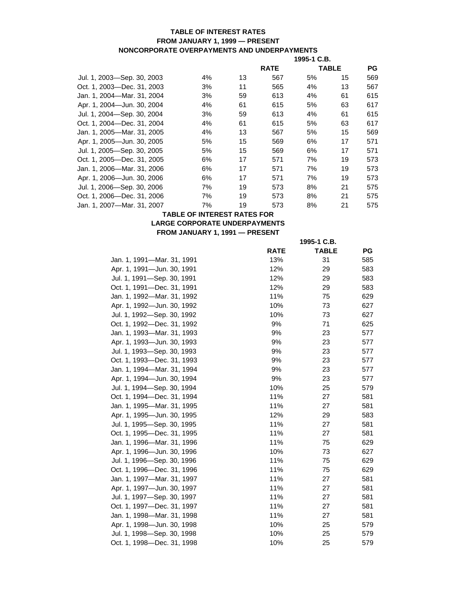## **TABLE OF INTEREST RATES FROM JANUARY 1, 1999 — PRESENT NONCORPORATE OVERPAYMENTS AND UNDERPAYMENTS**

|                            |    |    | 1995-1 C.B. |    |              |     |
|----------------------------|----|----|-------------|----|--------------|-----|
|                            |    |    | <b>RATE</b> |    | <b>TABLE</b> | PG  |
| Jul. 1, 2003—Sep. 30, 2003 | 4% | 13 | 567         | 5% | 15           | 569 |
| Oct. 1. 2003—Dec. 31. 2003 | 3% | 11 | 565         | 4% | 13           | 567 |
| Jan. 1, 2004-Mar. 31, 2004 | 3% | 59 | 613         | 4% | 61           | 615 |
| Apr. 1, 2004-Jun. 30, 2004 | 4% | 61 | 615         | 5% | 63           | 617 |
| Jul. 1, 2004-Sep. 30, 2004 | 3% | 59 | 613         | 4% | 61           | 615 |
| Oct. 1. 2004—Dec. 31. 2004 | 4% | 61 | 615         | 5% | 63           | 617 |
| Jan. 1, 2005-Mar. 31, 2005 | 4% | 13 | 567         | 5% | 15           | 569 |
| Apr. 1, 2005-Jun. 30, 2005 | 5% | 15 | 569         | 6% | 17           | 571 |
| Jul. 1, 2005-Sep. 30, 2005 | 5% | 15 | 569         | 6% | 17           | 571 |
| Oct. 1. 2005—Dec. 31. 2005 | 6% | 17 | 571         | 7% | 19           | 573 |
| Jan. 1, 2006—Mar. 31, 2006 | 6% | 17 | 571         | 7% | 19           | 573 |
| Apr. 1, 2006-Jun. 30, 2006 | 6% | 17 | 571         | 7% | 19           | 573 |
| Jul. 1, 2006-Sep. 30, 2006 | 7% | 19 | 573         | 8% | 21           | 575 |
| Oct. 1. 2006—Dec. 31. 2006 | 7% | 19 | 573         | 8% | 21           | 575 |
| Jan. 1, 2007-Mar. 31, 2007 | 7% | 19 | 573         | 8% | 21           | 575 |

### **TABLE OF INTEREST RATES FOR LARGE CORPORATE UNDERPAYMENTS FROM JANUARY 1, 1991 — PRESENT**

|                            |             | 1995-1 C.B.  |     |
|----------------------------|-------------|--------------|-----|
|                            | <b>RATE</b> | <b>TABLE</b> | PG  |
| Jan. 1, 1991—Mar. 31, 1991 | 13%         | 31           | 585 |
| Apr. 1, 1991-Jun. 30, 1991 | 12%         | 29           | 583 |
| Jul. 1, 1991—Sep. 30, 1991 | 12%         | 29           | 583 |
| Oct. 1, 1991-Dec. 31, 1991 | 12%         | 29           | 583 |
| Jan. 1, 1992—Mar. 31, 1992 | 11%         | 75           | 629 |
| Apr. 1, 1992-Jun. 30, 1992 | 10%         | 73           | 627 |
| Jul. 1, 1992—Sep. 30, 1992 | 10%         | 73           | 627 |
| Oct. 1, 1992-Dec. 31, 1992 | 9%          | 71           | 625 |
| Jan. 1, 1993—Mar. 31, 1993 | 9%          | 23           | 577 |
| Apr. 1, 1993-Jun. 30, 1993 | 9%          | 23           | 577 |
| Jul. 1, 1993—Sep. 30, 1993 | 9%          | 23           | 577 |
| Oct. 1, 1993-Dec. 31, 1993 | 9%          | 23           | 577 |
| Jan. 1, 1994—Mar. 31, 1994 | 9%          | 23           | 577 |
| Apr. 1, 1994-Jun. 30, 1994 | 9%          | 23           | 577 |
| Jul. 1, 1994-Sep. 30, 1994 | 10%         | 25           | 579 |
| Oct. 1, 1994—Dec. 31, 1994 | 11%         | 27           | 581 |
| Jan. 1, 1995-Mar. 31, 1995 | 11%         | 27           | 581 |
| Apr. 1, 1995-Jun. 30, 1995 | 12%         | 29           | 583 |
| Jul. 1, 1995-Sep. 30, 1995 | 11%         | 27           | 581 |
| Oct. 1, 1995—Dec. 31, 1995 | 11%         | 27           | 581 |
| Jan. 1, 1996—Mar. 31, 1996 | 11%         | 75           | 629 |
| Apr. 1, 1996-Jun. 30, 1996 | 10%         | 73           | 627 |
| Jul. 1, 1996—Sep. 30, 1996 | 11%         | 75           | 629 |
| Oct. 1, 1996-Dec. 31, 1996 | 11%         | 75           | 629 |
| Jan. 1, 1997—Mar. 31, 1997 | 11%         | 27           | 581 |
| Apr. 1, 1997-Jun. 30, 1997 | 11%         | 27           | 581 |
| Jul. 1, 1997—Sep. 30, 1997 | 11%         | 27           | 581 |
| Oct. 1, 1997-Dec. 31, 1997 | 11%         | 27           | 581 |
| Jan. 1, 1998—Mar. 31, 1998 | 11%         | 27           | 581 |
| Apr. 1, 1998-Jun. 30, 1998 | 10%         | 25           | 579 |
| Jul. 1, 1998-Sep. 30, 1998 | 10%         | 25           | 579 |
| Oct. 1, 1998-Dec. 31, 1998 | 10%         | 25           | 579 |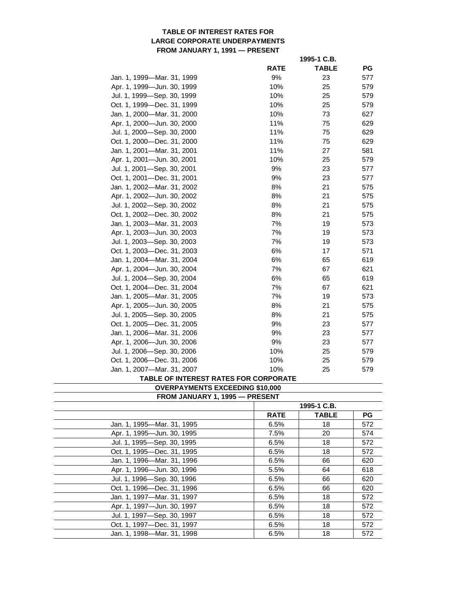### **TABLE OF INTEREST RATES FOR LARGE CORPORATE UNDERPAYMENTS FROM JANUARY 1, 1991 — PRESENT**

|                            |             | 1995-1 C.B.  |           |
|----------------------------|-------------|--------------|-----------|
|                            | <b>RATE</b> | <b>TABLE</b> | <b>PG</b> |
| Jan. 1, 1999—Mar. 31, 1999 | 9%          | 23           | 577       |
| Apr. 1, 1999-Jun. 30, 1999 | 10%         | 25           | 579       |
| Jul. 1, 1999-Sep. 30, 1999 | 10%         | 25           | 579       |
| Oct. 1, 1999-Dec. 31, 1999 | 10%         | 25           | 579       |
| Jan. 1, 2000—Mar. 31, 2000 | 10%         | 73           | 627       |
| Apr. 1, 2000-Jun. 30, 2000 | 11%         | 75           | 629       |
| Jul. 1, 2000-Sep. 30, 2000 | 11%         | 75           | 629       |
| Oct. 1, 2000-Dec. 31, 2000 | 11%         | 75           | 629       |
| Jan. 1, 2001-Mar. 31, 2001 | 11%         | 27           | 581       |
| Apr. 1, 2001-Jun. 30, 2001 | 10%         | 25           | 579       |
| Jul. 1, 2001-Sep. 30, 2001 | 9%          | 23           | 577       |
| Oct. 1, 2001-Dec. 31, 2001 | 9%          | 23           | 577       |
| Jan. 1, 2002-Mar. 31, 2002 | 8%          | 21           | 575       |
| Apr. 1, 2002-Jun. 30, 2002 | 8%          | 21           | 575       |
| Jul. 1, 2002—Sep. 30, 2002 | 8%          | 21           | 575       |
| Oct. 1, 2002—Dec. 30, 2002 | 8%          | 21           | 575       |
| Jan. 1, 2003—Mar. 31, 2003 | 7%          | 19           | 573       |
| Apr. 1, 2003-Jun. 30, 2003 | 7%          | 19           | 573       |
| Jul. 1, 2003-Sep. 30, 2003 | 7%          | 19           | 573       |
| Oct. 1, 2003-Dec. 31, 2003 | 6%          | 17           | 571       |
| Jan. 1, 2004—Mar. 31, 2004 | 6%          | 65           | 619       |
| Apr. 1, 2004-Jun. 30, 2004 | 7%          | 67           | 621       |
| Jul. 1, 2004—Sep. 30, 2004 | 6%          | 65           | 619       |
| Oct. 1, 2004—Dec. 31, 2004 | 7%          | 67           | 621       |
| Jan. 1, 2005-Mar. 31, 2005 | 7%          | 19           | 573       |
| Apr. 1, 2005-Jun. 30, 2005 | 8%          | 21           | 575       |
| Jul. 1, 2005-Sep. 30, 2005 | 8%          | 21           | 575       |
| Oct. 1, 2005-Dec. 31, 2005 | 9%          | 23           | 577       |
| Jan. 1, 2006-Mar. 31, 2006 | 9%          | 23           | 577       |
| Apr. 1, 2006-Jun. 30, 2006 | 9%          | 23           | 577       |
| Jul. 1, 2006-Sep. 30, 2006 | 10%         | 25           | 579       |
| Oct. 1, 2006-Dec. 31, 2006 | 10%         | 25           | 579       |
| Jan. 1, 2007-Mar. 31, 2007 | 10%         | 25           | 579       |

#### **TABLE OF INTEREST RATES FOR CORPORATE**

**OVERPAYMENTS EXCEEDING \$10,000** 

|                            | 1995-1 C.B. |              |           |  |
|----------------------------|-------------|--------------|-----------|--|
|                            | <b>RATE</b> | <b>TABLE</b> | <b>PG</b> |  |
| Jan. 1, 1995-Mar. 31, 1995 | 6.5%        | 18           | 572       |  |
| Apr. 1, 1995-Jun. 30, 1995 | 7.5%        | 20           | 574       |  |
| Jul. 1, 1995-Sep. 30, 1995 | 6.5%        | 18           | 572       |  |
| Oct. 1, 1995-Dec. 31, 1995 | 6.5%        | 18           | 572       |  |
| Jan. 1, 1996-Mar. 31, 1996 | 6.5%        | 66           | 620       |  |
| Apr. 1, 1996-Jun. 30, 1996 | 5.5%        | 64           | 618       |  |
| Jul. 1, 1996—Sep. 30, 1996 | 6.5%        | 66           | 620       |  |
| Oct. 1. 1996-Dec. 31. 1996 | 6.5%        | 66           | 620       |  |
| Jan. 1. 1997-Mar. 31, 1997 | 6.5%        | 18           | 572       |  |
| Apr. 1, 1997-Jun. 30, 1997 | 6.5%        | 18           | 572       |  |
| Jul. 1, 1997-Sep. 30, 1997 | 6.5%        | 18           | 572       |  |
| Oct. 1, 1997-Dec. 31, 1997 | 6.5%        | 18           | 572       |  |
| Jan. 1, 1998-Mar. 31, 1998 | 6.5%        | 18           | 572       |  |